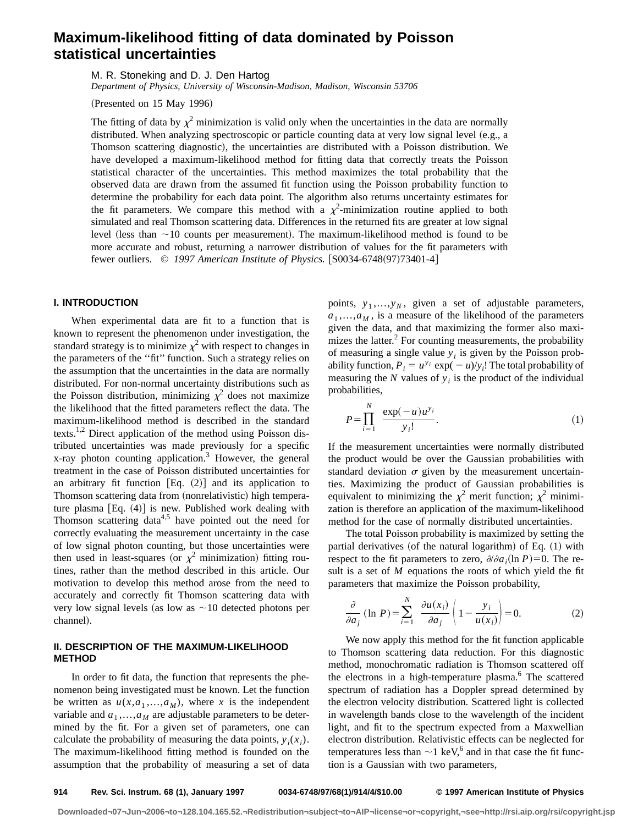# **Maximum-likelihood fitting of data dominated by Poisson statistical uncertainties**

M. R. Stoneking and D. J. Den Hartog

*Department of Physics, University of Wisconsin-Madison, Madison, Wisconsin 53706*

 $(Presented on 15 May 1996)$ 

The fitting of data by  $\chi^2$  minimization is valid only when the uncertainties in the data are normally distributed. When analyzing spectroscopic or particle counting data at very low signal level (e.g., a Thomson scattering diagnostic), the uncertainties are distributed with a Poisson distribution. We have developed a maximum-likelihood method for fitting data that correctly treats the Poisson statistical character of the uncertainties. This method maximizes the total probability that the observed data are drawn from the assumed fit function using the Poisson probability function to determine the probability for each data point. The algorithm also returns uncertainty estimates for the fit parameters. We compare this method with a  $\chi^2$ -minimization routine applied to both simulated and real Thomson scattering data. Differences in the returned fits are greater at low signal level (less than  $\sim$ 10 counts per measurement). The maximum-likelihood method is found to be more accurate and robust, returning a narrower distribution of values for the fit parameters with fewer outliers. © 1997 American Institute of Physics. [S0034-6748(97)73401-4]

# **I. INTRODUCTION**

When experimental data are fit to a function that is known to represent the phenomenon under investigation, the standard strategy is to minimize  $\chi^2$  with respect to changes in the parameters of the ''fit'' function. Such a strategy relies on the assumption that the uncertainties in the data are normally distributed. For non-normal uncertainty distributions such as the Poisson distribution, minimizing  $\chi^2$  does not maximize the likelihood that the fitted parameters reflect the data. The maximum-likelihood method is described in the standard texts.<sup>1,2</sup> Direct application of the method using Poisson distributed uncertainties was made previously for a specific x-ray photon counting application.<sup>3</sup> However, the general treatment in the case of Poisson distributed uncertainties for an arbitrary fit function  $Eq. (2)$  and its application to Thomson scattering data from (nonrelativistic) high temperature plasma  $[Eq. (4)]$  is new. Published work dealing with Thomson scattering data $4.5$  have pointed out the need for correctly evaluating the measurement uncertainty in the case of low signal photon counting, but those uncertainties were then used in least-squares (or  $\chi^2$  minimization) fitting routines, rather than the method described in this article. Our motivation to develop this method arose from the need to accurately and correctly fit Thomson scattering data with very low signal levels (as low as  $\sim$ 10 detected photons per channel).

# **II. DESCRIPTION OF THE MAXIMUM-LIKELIHOOD METHOD**

In order to fit data, the function that represents the phenomenon being investigated must be known. Let the function be written as  $u(x, a_1, \ldots, a_M)$ , where *x* is the independent variable and  $a_1$ ,..., $a_M$  are adjustable parameters to be determined by the fit. For a given set of parameters, one can calculate the probability of measuring the data points,  $y_i(x_i)$ . The maximum-likelihood fitting method is founded on the assumption that the probability of measuring a set of data points,  $y_1,...,y_N$ , given a set of adjustable parameters,  $a_1, \ldots, a_M$ , is a measure of the likelihood of the parameters given the data, and that maximizing the former also maximizes the latter. ${}^{2}$  For counting measurements, the probability of measuring a single value  $y_i$  is given by the Poisson probability function,  $P_i = u^{y_i} \exp(-u)/y_i!$  The total probability of measuring the  $N$  values of  $y_i$  is the product of the individual probabilities,

$$
P = \prod_{i=1}^{N} \frac{\exp(-u)u^{y_i}}{y_i!}.
$$
 (1)

If the measurement uncertainties were normally distributed the product would be over the Gaussian probabilities with standard deviation  $\sigma$  given by the measurement uncertainties. Maximizing the product of Gaussian probabilities is equivalent to minimizing the  $\chi^2$  merit function;  $\chi^2$  minimization is therefore an application of the maximum-likelihood method for the case of normally distributed uncertainties.

The total Poisson probability is maximized by setting the partial derivatives (of the natural logarithm) of Eq.  $(1)$  with respect to the fit parameters to zero,  $\partial/\partial a_i(\ln P) = 0$ . The result is a set of *M* equations the roots of which yield the fit parameters that maximize the Poisson probability,

$$
\frac{\partial}{\partial a_j} (\ln P) = \sum_{i=1}^N \frac{\partial u(x_i)}{\partial a_j} \left( 1 - \frac{y_i}{u(x_i)} \right) = 0.
$$
 (2)

We now apply this method for the fit function applicable to Thomson scattering data reduction. For this diagnostic method, monochromatic radiation is Thomson scattered off the electrons in a high-temperature plasma.<sup>6</sup> The scattered spectrum of radiation has a Doppler spread determined by the electron velocity distribution. Scattered light is collected in wavelength bands close to the wavelength of the incident light, and fit to the spectrum expected from a Maxwellian electron distribution. Relativistic effects can be neglected for temperatures less than  $\sim$ 1 keV,<sup>6</sup> and in that case the fit function is a Gaussian with two parameters,

**Downloaded¬07¬Jun¬2006¬to¬128.104.165.52.¬Redistribution¬subject¬to¬AIP¬license¬or¬copyright,¬see¬http://rsi.aip.org/rsi/copyright.jsp**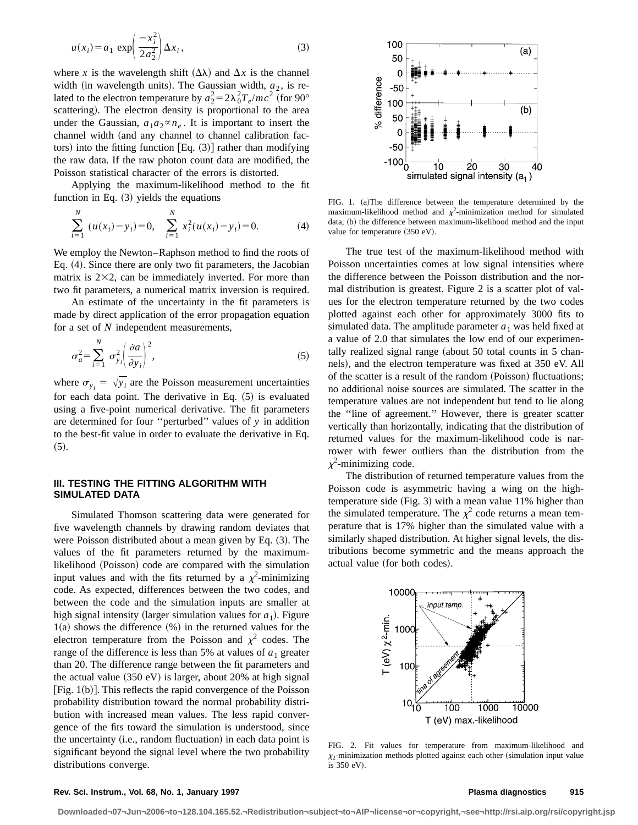$$
u(x_i) = a_1 \exp\left(\frac{-x_i^2}{2a_2^2}\right) \Delta x_i, \tag{3}
$$

where *x* is the wavelength shift  $(\Delta \lambda)$  and  $\Delta x$  is the channel width (in wavelength units). The Gaussian width,  $a_2$ , is related to the electron temperature by  $a_2^2 = 2\lambda_0^2 T_e/mc^2$  (for 90° scattering). The electron density is proportional to the area under the Gaussian,  $a_1 a_2 \propto n_e$ . It is important to insert the channel width (and any channel to channel calibration factors) into the fitting function  $[Eq. (3)]$  rather than modifying the raw data. If the raw photon count data are modified, the Poisson statistical character of the errors is distorted.

Applying the maximum-likelihood method to the fit function in Eq.  $(3)$  yields the equations

$$
\sum_{i=1}^{N} (u(x_i) - y_i) = 0, \quad \sum_{i=1}^{N} x_i^2 (u(x_i) - y_i) = 0.
$$
 (4)

We employ the Newton–Raphson method to find the roots of Eq.  $(4)$ . Since there are only two fit parameters, the Jacobian matrix is  $2\times 2$ , can be immediately inverted. For more than two fit parameters, a numerical matrix inversion is required.

An estimate of the uncertainty in the fit parameters is made by direct application of the error propagation equation for a set of *N* independent measurements,

$$
\sigma_a^2 = \sum_{i=1}^N \sigma_{y_i}^2 \left(\frac{\partial a}{\partial y_i}\right)^2, \tag{5}
$$

where  $\sigma_{y_i} = \sqrt{y_i}$  are the Poisson measurement uncertainties for each data point. The derivative in Eq.  $(5)$  is evaluated using a five-point numerical derivative. The fit parameters are determined for four ''perturbed'' values of *y* in addition to the best-fit value in order to evaluate the derivative in Eq.  $(5).$ 

# **III. TESTING THE FITTING ALGORITHM WITH SIMULATED DATA**

Simulated Thomson scattering data were generated for five wavelength channels by drawing random deviates that were Poisson distributed about a mean given by Eq.  $(3)$ . The values of the fit parameters returned by the maximumlikelihood (Poisson) code are compared with the simulation input values and with the fits returned by a  $\chi^2$ -minimizing code. As expected, differences between the two codes, and between the code and the simulation inputs are smaller at high signal intensity (larger simulation values for  $a_1$ ). Figure  $1(a)$  shows the difference  $%$  in the returned values for the electron temperature from the Poisson and  $\chi^2$  codes. The range of the difference is less than 5% at values of  $a_1$  greater than 20. The difference range between the fit parameters and the actual value  $(350 \text{ eV})$  is larger, about 20% at high signal  $[Fig. 1(b)].$  This reflects the rapid convergence of the Poisson probability distribution toward the normal probability distribution with increased mean values. The less rapid convergence of the fits toward the simulation is understood, since the uncertainty  $(i.e., random fluctuation)$  in each data point is significant beyond the signal level where the two probability distributions converge.



FIG. 1. (a)The difference between the temperature determined by the maximum-likelihood method and  $\chi^2$ -minimization method for simulated data, (b) the difference between maximum-likelihood method and the input value for temperature  $(350 \text{ eV})$ .

The true test of the maximum-likelihood method with Poisson uncertainties comes at low signal intensities where the difference between the Poisson distribution and the normal distribution is greatest. Figure 2 is a scatter plot of values for the electron temperature returned by the two codes plotted against each other for approximately 3000 fits to simulated data. The amplitude parameter  $a_1$  was held fixed at a value of 2.0 that simulates the low end of our experimentally realized signal range (about  $50$  total counts in  $5$  channels), and the electron temperature was fixed at 350 eV. All of the scatter is a result of the random (Poisson) fluctuations; no additional noise sources are simulated. The scatter in the temperature values are not independent but tend to lie along the ''line of agreement.'' However, there is greater scatter vertically than horizontally, indicating that the distribution of returned values for the maximum-likelihood code is narrower with fewer outliers than the distribution from the  $\chi^2$ -minimizing code.

The distribution of returned temperature values from the Poisson code is asymmetric having a wing on the hightemperature side  $(Fig. 3)$  with a mean value 11% higher than the simulated temperature. The  $\chi^2$  code returns a mean temperature that is 17% higher than the simulated value with a similarly shaped distribution. At higher signal levels, the distributions become symmetric and the means approach the actual value (for both codes).



FIG. 2. Fit values for temperature from maximum-likelihood and  $\chi_2$ -minimization methods plotted against each other (simulation input value is 350 eV).

### **Rev. Sci. Instrum., Vol. 68, No. 1, January 1997 Plasma diagnostics 915**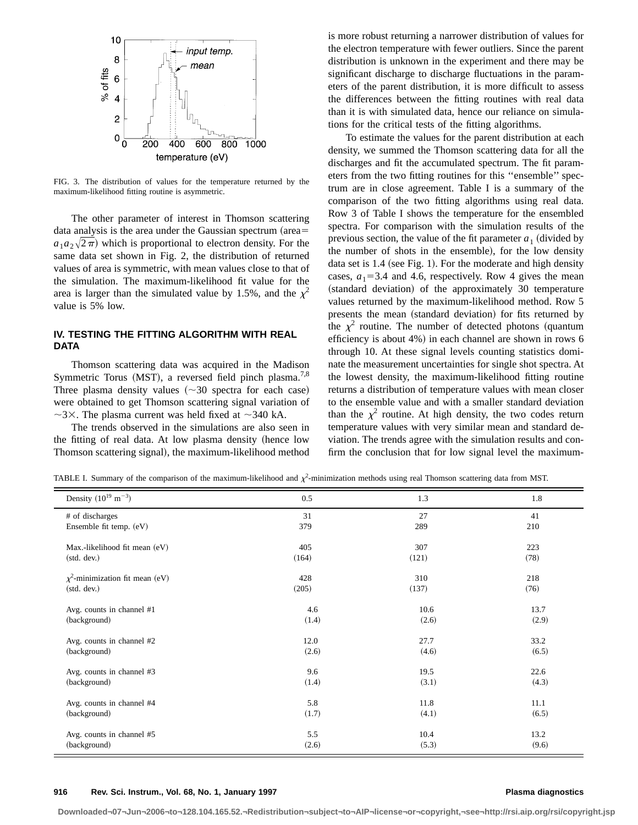

FIG. 3. The distribution of values for the temperature returned by the maximum-likelihood fitting routine is asymmetric.

The other parameter of interest in Thomson scattering data analysis is the area under the Gaussian spectrum (area=  $a_1a_2\sqrt{2\pi}$  which is proportional to electron density. For the same data set shown in Fig. 2, the distribution of returned values of area is symmetric, with mean values close to that of the simulation. The maximum-likelihood fit value for the area is larger than the simulated value by 1.5%, and the  $\chi^2$ value is 5% low.

# **IV. TESTING THE FITTING ALGORITHM WITH REAL DATA**

Thomson scattering data was acquired in the Madison Symmetric Torus (MST), a reversed field pinch plasma.<sup>7,8</sup> Three plasma density values  $(\sim 30$  spectra for each case) were obtained to get Thomson scattering signal variation of  $\sim$ 3×. The plasma current was held fixed at  $\sim$ 340 kA.

The trends observed in the simulations are also seen in the fitting of real data. At low plasma density (hence low Thomson scattering signal), the maximum-likelihood method is more robust returning a narrower distribution of values for the electron temperature with fewer outliers. Since the parent distribution is unknown in the experiment and there may be significant discharge to discharge fluctuations in the parameters of the parent distribution, it is more difficult to assess the differences between the fitting routines with real data than it is with simulated data, hence our reliance on simulations for the critical tests of the fitting algorithms.

To estimate the values for the parent distribution at each density, we summed the Thomson scattering data for all the discharges and fit the accumulated spectrum. The fit parameters from the two fitting routines for this ''ensemble'' spectrum are in close agreement. Table I is a summary of the comparison of the two fitting algorithms using real data. Row 3 of Table I shows the temperature for the ensembled spectra. For comparison with the simulation results of the previous section, the value of the fit parameter  $a_1$  (divided by the number of shots in the ensemble), for the low density data set is  $1.4$  (see Fig. 1). For the moderate and high density cases,  $a_1$ =3.4 and 4.6, respectively. Row 4 gives the mean (standard deviation) of the approximately 30 temperature values returned by the maximum-likelihood method. Row 5 presents the mean (standard deviation) for fits returned by the  $\chi^2$  routine. The number of detected photons (quantum efficiency is about  $4\%$ ) in each channel are shown in rows 6 through 10. At these signal levels counting statistics dominate the measurement uncertainties for single shot spectra. At the lowest density, the maximum-likelihood fitting routine returns a distribution of temperature values with mean closer to the ensemble value and with a smaller standard deviation than the  $\chi^2$  routine. At high density, the two codes return temperature values with very similar mean and standard deviation. The trends agree with the simulation results and confirm the conclusion that for low signal level the maximum-

TABLE I. Summary of the comparison of the maximum-likelihood and  $\chi^2$ -minimization methods using real Thomson scattering data from MST.

| Density $(10^{19} \text{ m}^{-3})$   | 0.5   | 1.3   | 1.8   |
|--------------------------------------|-------|-------|-------|
| # of discharges                      | 31    | 27    | 41    |
| Ensemble fit temp. (eV)              | 379   | 289   | 210   |
| Max.-likelihood fit mean (eV)        | 405   | 307   | 223   |
| (stat. dev.)                         | (164) | (121) | (78)  |
| $\chi^2$ -minimization fit mean (eV) | 428   | 310   | 218   |
| (stat. dev.)                         | (205) | (137) | (76)  |
| Avg. counts in channel #1            | 4.6   | 10.6  | 13.7  |
| (background)                         | (1.4) | (2.6) | (2.9) |
| Avg. counts in channel #2            | 12.0  | 27.7  | 33.2  |
| (background)                         | (2.6) | (4.6) | (6.5) |
| Avg. counts in channel #3            | 9.6   | 19.5  | 22.6  |
| (background)                         | (1.4) | (3.1) | (4.3) |
| Avg. counts in channel #4            | 5.8   | 11.8  | 11.1  |
| (background)                         | (1.7) | (4.1) | (6.5) |
| Avg. counts in channel #5            | 5.5   | 10.4  | 13.2  |
| (background)                         | (2.6) | (5.3) | (9.6) |

**Downloaded¬07¬Jun¬2006¬to¬128.104.165.52.¬Redistribution¬subject¬to¬AIP¬license¬or¬copyright,¬see¬http://rsi.aip.org/rsi/copyright.jsp**